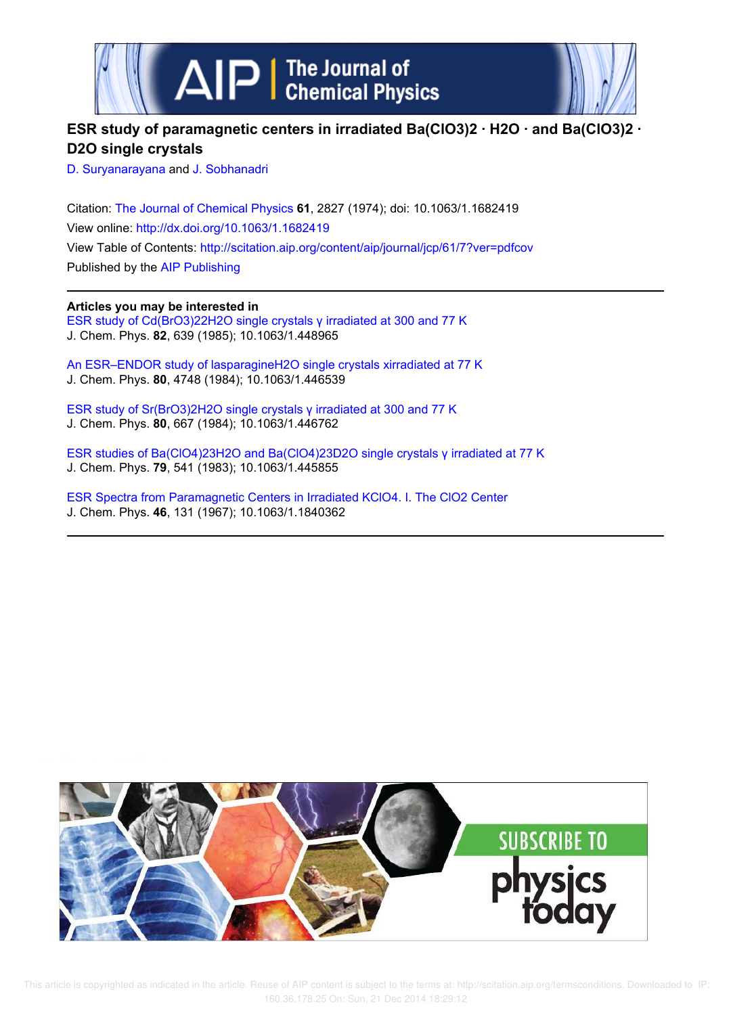



# **ESR study of paramagnetic centers in irradiated Ba(ClO3)2 · H2O · and Ba(ClO3)2 · D2O single crystals**

D. Suryanarayana and J. Sobhanadri

Citation: The Journal of Chemical Physics **61**, 2827 (1974); doi: 10.1063/1.1682419 View online: http://dx.doi.org/10.1063/1.1682419 View Table of Contents: http://scitation.aip.org/content/aip/journal/jcp/61/7?ver=pdfcov Published by the AIP Publishing

**Articles you may be interested in** ESR study of Cd(BrO3)22H2O single crystals γ irradiated at 300 and 77 K J. Chem. Phys. **82**, 639 (1985); 10.1063/1.448965

An ESR–ENDOR study of lasparagineH2O single crystals xirradiated at 77 K J. Chem. Phys. **80**, 4748 (1984); 10.1063/1.446539

ESR study of Sr(BrO3)2H2O single crystals γ irradiated at 300 and 77 K J. Chem. Phys. **80**, 667 (1984); 10.1063/1.446762

ESR studies of Ba(ClO4)23H2O and Ba(ClO4)23D2O single crystals γ irradiated at 77 K J. Chem. Phys. **79**, 541 (1983); 10.1063/1.445855

ESR Spectra from Paramagnetic Centers in Irradiated KClO4. I. The ClO2 Center J. Chem. Phys. **46**, 131 (1967); 10.1063/1.1840362

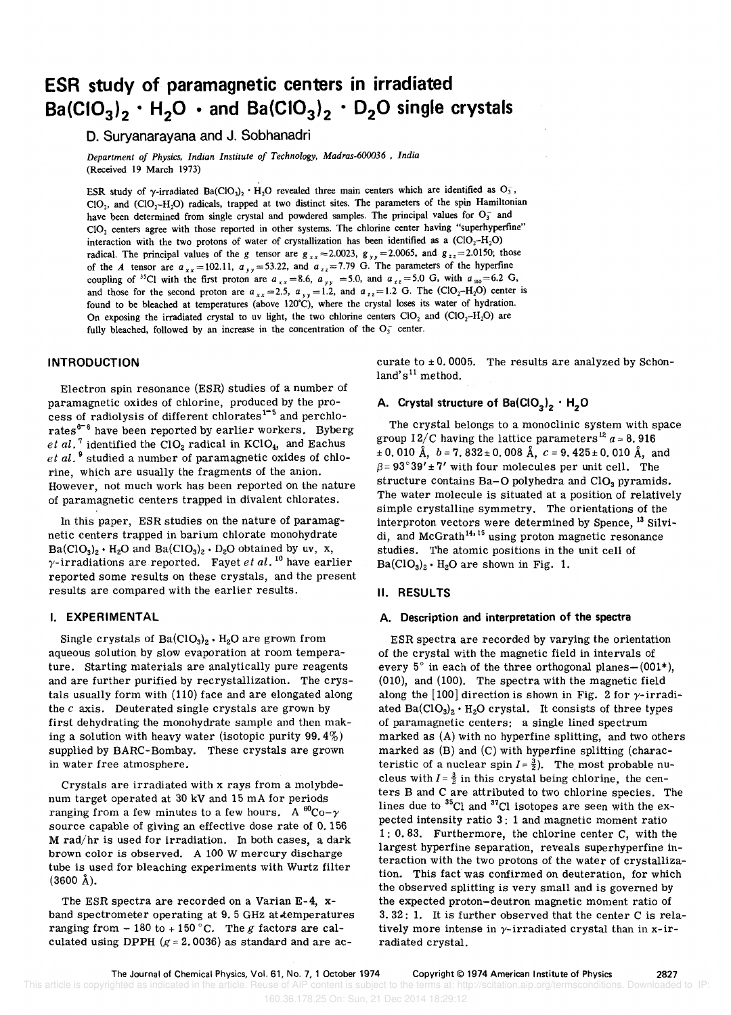# **ESR study of paramagnetic centers in irradiated Ba(CI0<sup>3</sup> )2 · H<sup>2</sup> 0 • and Ba(CI0<sup>3</sup> )2 · 020 single crystals**

D. Suryanarayana and J. Sobhanadri

*Department of Physics, Indian Institute of Technology, Madras-600036* , *India*  (Received 19 March 1973)

ESR study of  $\gamma$ -irradiated Ba(ClO<sub>3</sub>)<sub>2</sub> · H<sub>2</sub>O revealed three main centers which are identified as O<sub>3</sub>,  $ClO<sub>2</sub>$ , and  $ClO<sub>2</sub>-H<sub>2</sub>O$ ) radicals, trapped at two distinct sites. The parameters of the spin Hamiltonian have been determined from single crystal and powdered samples. The principal values for  $O_3^-$  and CI02 centers agree with those reported in other systems. The chlorine center having "superhyperfine" interaction with the two protons of water of crystallization has been identified as a  $(CIO_2-H_2O)$ radical. The principal values of the g tensor are  $g_{xx} = 2.0023$ ,  $g_{yy} = 2.0065$ , and  $g_{zz} = 2.0150$ ; those of the *A* tensor are  $a_{xx} = 102.11$ ,  $a_{yy} = 53.22$ , and  $a_{zz} = 7.79$  G. The parameters of the hyperfine coupling of <sup>35</sup>CI with the first proton are  $a_{xx} = 8.6$ ,  $a_{yy} = 5.0$ , and  $a_{zz} = 5.0$  G, with  $a_{\text{iso}} = 6.2$  G, and those for the second proton are  $a_{xx} = 2.5$ ,  $a_{yy} = 1.2$ , and  $a_{zz} = 1.2$  G. The (ClO<sub>2</sub>-H<sub>2</sub>O) center is found to be bleached at temperatures (above 120'C), where the crystal loses its water of hydration. On exposing the irradiated crystal to uv light, the two chlorine centers  $ClO_2$  and  $ClO_2-H_2O$ ) are fully bleached, followed by an increase in the concentration of the  $O_3^-$  center.

# INTRODUCTION

Electron spin resonance (ESR) studies of a number of paramagnetic oxides of chlorine, produced by the process of radiolysis of different chlorates<sup>1-5</sup> and perchlorates<sup>6-8</sup> have been reported by earlier workers. Byberg *et al.*<sup>7</sup> identified the ClO<sub>2</sub> radical in KClO<sub>4</sub>, and Eachus *et al.* 9 studied a number of paramagnetic oxides of chlorine, which are usually the fragments of the anion. However, not much work has been reported on the nature of paramagnetic centers trapped in divalent chlorates.

In this paper, ESR studies on the nature of paramagnetic centers trapped in barium chlorate monohydrate  $Ba(CIO<sub>3</sub>)<sub>2</sub> · H<sub>2</sub>O$  and  $Ba(CIO<sub>3</sub>)<sub>2</sub> · D<sub>2</sub>O$  obtained by uv, x,  $\gamma$ -irradiations are reported. Fayet *et al.*<sup>10</sup> have earlier reported some results on these crystals, and the present results are compared with the earlier results.

# I. EXPERIMENTAL

Single crystals of  $Ba(CIO<sub>3</sub>)<sub>2</sub> · H<sub>2</sub>O$  are grown from aqueous solution by slow evaporation at room temperature. starting materials are analytically pure reagents and are further purified by recrystallization. The crystals usually form with (110) face and are elongated along the  $c$  axis. Deuterated single crystals are grown by first dehydrating the monohydrate sample and then making a solution with heavy water (isotopic purity 99.4%) supplied by BARC-Bombay. These crystals are grown in water free atmosphere.

Crystals are irradiated with x rays from a molybdenum target operated at 30 kV and 15 mA for periods ranging from a few minutes to a few hours. A  ${}^{60}$ Co- $\gamma$ source capable of giving an effective dose rate of 0.156 M rad/hr is used for irradiation. In both cases, a dark brown color is observed. A 100 W mercury discharge tube is used for bleaching experiments with Wurtz filter (3600 A).

The ESR spectra are recorded on a Varian E-4, xband spectrometer operating at 9.5 GHz at temperatures ranging from  $-180$  to  $+150$  °C. The g factors are calculated using DPPH ( $g = 2.0036$ ) as standard and are ac-

curate to  $\pm$  0.0005. The results are analyzed by Schonland's<sup>11</sup> method.

# A. Crystal structure of Ba(ClO<sub>3</sub>)<sub>2</sub> · H<sub>2</sub>O

The crystal belongs to a monoclinic system with space group  $12/C$  having the lattice parameters<sup>12</sup>  $a = 8.916$  $\pm$  0.010 Å,  $b = 7.832 \pm 0.008$  Å,  $c = 9.425 \pm 0.010$  Å, and  $\beta = 93^\circ 39' \pm 7'$  with four molecules per unit cell. The structure contains Ba-O polyhedra and  $ClO<sub>3</sub>$  pyramids. The water molecule is situated at a position of relatively simple crystalline symmetry. The orientations of the interproton vectors were determined by Spence, 13 Silvidi, and McGrath<sup>14, 15</sup> using proton magnetic resonance studies. The atomic positions in the unit cell of  $Ba(CIO<sub>3</sub>)<sub>2</sub> · H<sub>2</sub>O$  are shown in Fig. 1.

# II. RESULTS

# A. Description and interpretation of the spectra

ESR spectra are recorded by varying the orientation of the crystal with the magnetic field in intervals of every  $5^\circ$  in each of the three orthogonal planes- (001\*), (010), and (100). The spectra with the magnetic field along the  $[100]$  direction is shown in Fig. 2 for  $\gamma$ -irradiated  $Ba(CIO_3)_2 \cdot H_2O$  crystal. It consists of three types of paramagnetic centers: a single lined spectrum marked as (A) with no hyperfine splitting, and two others marked as (B) and (C) with hyperfine splitting (characteristic of a nuclear spin  $I = \frac{3}{2}$ . The most probable nucleus with  $I=\frac{3}{2}$  in this crystal being chlorine, the centers Band C are attributed to two chlorine species. The lines due to  $^{35}$ Cl and  $^{37}$ Cl isotopes are seen with the expected intensity ratio 3: 1 and magnetic moment ratio 1: 0.83. Furthermore, the chlorine center C, with the largest hyperfine separation, reveals superhyperfine interaction with the two protons of the water of crystallization. This fact was confirmed on deuteration, for which the observed splitting is very small and is governed by the expected proton-deutron magnetic moment ratio of 3. 32: 1. It is further observed that the center C is relatively more intense in  $\gamma$ -irradiated crystal than in x-irradiated crystal.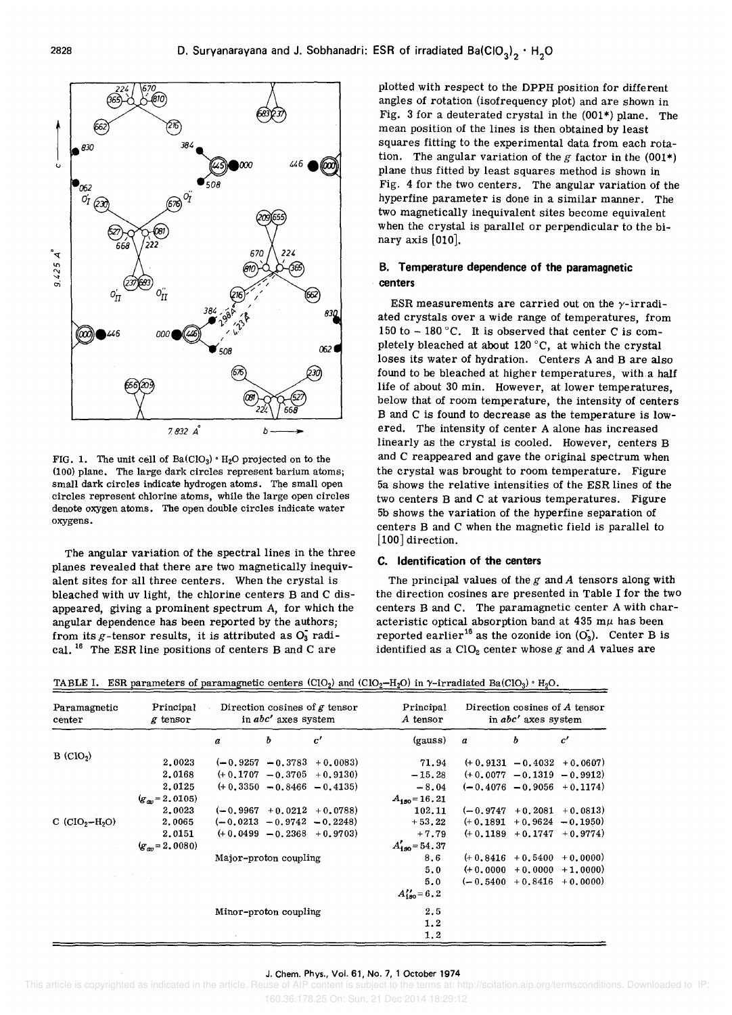

FIG. 1. The unit cell of  $Ba(CIO<sub>3</sub>) \cdot H<sub>2</sub>O$  projected on to the (100) plane. The large dark circles represent barium atoms; small dark circles indicate hydrogen atoms. The small open circles represent chlorine atoms, while the large open circles denote oxygen atoms. The open double circles indicate water oxygens.

The angular variation of the spectral lines in the three planes revealed that there are two magnetically inequivalent sites for all three centers. When the crystal is bleached with uv light, the chlorine centers B and C disappeared, giving a prominent spectrum A, for which the angular dependence has been reported by the authors; from its  $g$ -tensor results, it is attributed as  $O_3^{\sim}$  radical. <sup>16</sup> The ESR line positions of centers B and C are

plotted with respect to the DPPH position for different angles of rotation (isofrequency plot) and are shown in Fig. 3 for a deuterated crystal in the (001\*) plane. The mean position of the lines is then obtained by least squares fitting to the experimental data from each rotation. The angular variation of the g factor in the  $(001*)$ plane thus fitted by least squares method is shown in Fig. 4 for the two centers. The angular variation of the hyperfine parameter is done in a similar manner. The two magnetically inequivalent sites become equivalent when the crystal is parallel or perpendicular to the binary axis [010].

# B. Temperature dependence of the paramagnetic centers

ESR measurements are carried out on the  $\gamma$ -irradiated crystals over a wide range of temperatures, from 150 to  $-$  180 °C. It is observed that center C is completely bleached at about 120°C, at which the crystal loses its water of hydration. Centers A and B are also found to be bleached at higher temperatures, with a half life of about 30 min. However, at lower temperatures, below that of room temperature, the intensity of centers B and C is found to decrease as the temperature is lowered. The intensity of center A alone has increased linearly as the crystal is cooled. However, centers B and C reappeared and gave the original spectrum when the crystal was brought to room temperature. Figure 5a shows the relative intensities of the ESR lines of the two centers B and C at various temperatures. Figure 5b shows the variation of the hyperfine separation of centers Band C when the magnetic field is parallel to [100] direction.

### C. Identification of the centers

The principal values of the *g* and *A* tensors along with the direction cosines are presented in Table I for the two centers B and C. The paramagnetic center A with characteristic optical absorption band at 435 m $\mu$  has been reported earlier<sup>16</sup> as the ozonide ion  $(O_3)$ . Center B is identified as a  $ClO<sub>2</sub>$  center whose  $g$  and  $A$  values are

| Paramagnetic<br>center | Principal<br>g tensor | Direction cosines of $g$ tensor<br>in abc' axes system |   |                                | Principal<br>A tensor | Direction cosines of A tensor<br>in abc' axes system |                     |                                |
|------------------------|-----------------------|--------------------------------------------------------|---|--------------------------------|-----------------------|------------------------------------------------------|---------------------|--------------------------------|
|                        |                       | a                                                      | Ъ | c'                             | (gauss)               | $\boldsymbol{a}$                                     | ь                   | c'                             |
| B (CIO <sub>2</sub> )  | 2.0023                |                                                        |   | $(-0.9257 - 0.3783 + 0.0083)$  | 71.94                 |                                                      |                     | $(+ 0.9131 - 0.4032 + 0.0607)$ |
|                        | 2.0168                |                                                        |   | $(+ 0.1707 - 0.3705 + 0.9130)$ | $-15.28$              |                                                      |                     | $(+0.0077 - 0.1319 - 0.9912)$  |
|                        | 2.0125                |                                                        |   | $(+ 0.3350 - 0.8466 - 0.4135)$ | $-8.04$               |                                                      |                     | $(-0.4076 - 0.9056 + 0.1174)$  |
|                        | $(g_m = 2.0105)$      |                                                        |   |                                | $A_{150} = 16.21$     |                                                      |                     |                                |
|                        | 2.0023                |                                                        |   | $(-0.9967 + 0.0212 + 0.0788)$  | 102.11                | $(-0.9747)$                                          |                     | $+0.2081 + 0.0813$             |
| C $(CIO_2-H_2O)$       | 2,0065                |                                                        |   | $(-0.0213 - 0.9742 - 0.2248)$  | $+53,22$              |                                                      |                     | $(+0.1891 + 0.9624 - 0.1950)$  |
|                        | 2.0151                |                                                        |   | $(+0.0499 - 0.2368 + 0.9703)$  | $+7.79$               |                                                      |                     | $(+ 0.1189 + 0.1747 + 0.9774)$ |
|                        | $(g_m = 2,0080)$      |                                                        |   |                                | $A'_{180} = 54.37$    |                                                      |                     |                                |
|                        |                       | Major-proton coupling                                  |   |                                | 8.6                   |                                                      | $(+0.8416 + 0.5400$ | $+0.0000$                      |
|                        |                       |                                                        |   |                                | 5.0                   |                                                      |                     | $(+0.0000 + 0.0000 + 1.0000)$  |
|                        | and the state of the  |                                                        |   |                                | 5.0                   |                                                      |                     | $(-0.5400 + 0.8416 + 0.0000)$  |
|                        |                       |                                                        |   |                                | $A_{120} = 6.2$       |                                                      |                     |                                |
|                        |                       | Minor-proton coupling                                  |   |                                | 2.5                   |                                                      |                     |                                |
|                        |                       |                                                        |   |                                | 1.2                   |                                                      |                     |                                |
|                        |                       |                                                        |   |                                | 1.2                   |                                                      |                     |                                |

TABLE I. ESR parameters of paramagnetic centers  $(CIO_2)$  and  $(CIO_2-H_2O)$  in  $\gamma$ -irradiated Ba(ClO<sub>3</sub>)  $\cdot$  H<sub>2</sub>O.

#### J. Chern. Phys., Vol. 61, No.7, 1 October 1974

 This article is copyrighted as indicated in the article. Reuse of AIP content is subject to the terms at: http://scitation.aip.org/termsconditions. Downloaded to IP: 160.36.178.25 On: Sun, 21 Dec 2014 18:29:12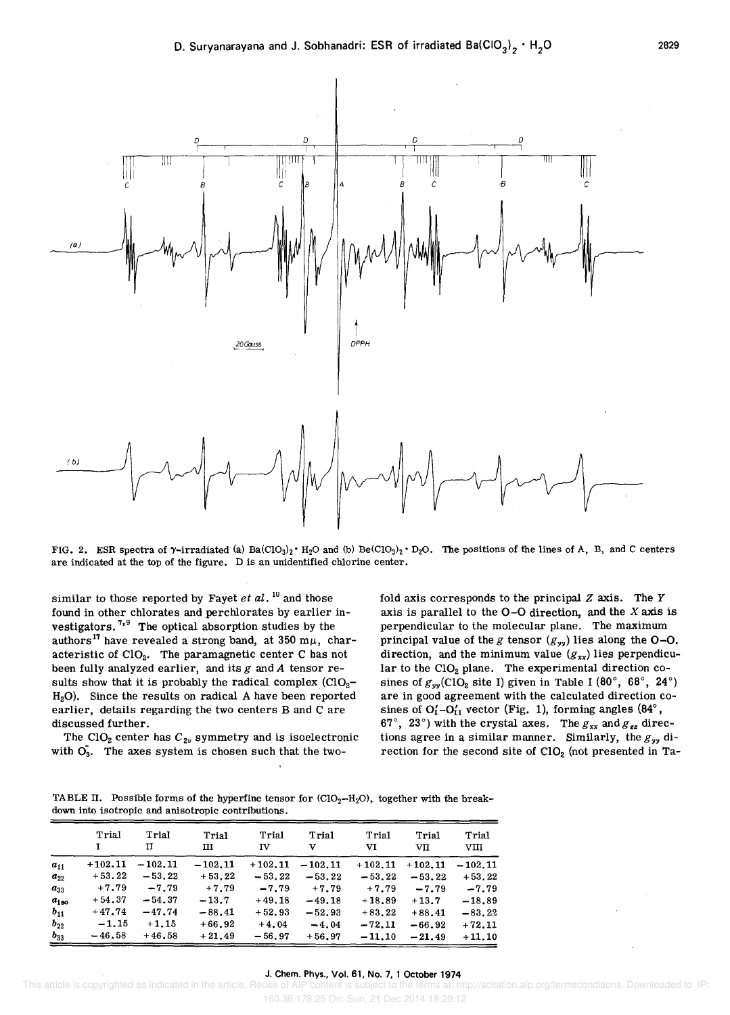

FIG. 2. ESR spectra of  $\gamma$ -irradiated (a) Ba(ClO<sub>3</sub>)<sub>2</sub> · H<sub>2</sub>O and (b) Be(ClO<sub>3</sub>)<sub>2</sub> · D<sub>2</sub>O. The positions of the lines of A, B, and C centers are indicated at the top of the figure. D is an unidentified chlorine center.

similar to those reported by Fayet *et al.* <sup>10</sup> and those found in other chlorates and perchlorates by earlier investigators.<sup>7,9</sup> The optical absorption studies by the authors<sup>17</sup> have revealed a strong band, at 350 m $\mu$ , characteristic of ClO<sub>2</sub>. The paramagnetic center C has not been fully analyzed earlier, and its *g* and *A* tensor results show that it is probably the radical complex  $(CIO<sub>2</sub>$ . H20). Since the results on radical A have been reported earlier, details regarding the two centers B and C are discussed further.

The  $ClO<sub>2</sub>$  center has  $C<sub>2v</sub>$  symmetry and is isoelectronic with  $\overline{O_3}$ . The axes system is chosen such that the two-

fold axis corresponds to the principal *Z* axis. The *Y*  axis is parallel to the 0-0 direction, and the *X* axis is perpendicular to the molecular plane. The maximum principal value of the *g* tensor  $(g_{yy})$  lies along the O-O. direction, and the minimum value  $(g_{xx})$  lies perpendicular to the  $ClO<sub>2</sub>$  plane. The experimental direction cosines of  $g_{yy}(CIO_2$  site I) given in Table I (80°, 68°, 24°) are in good agreement with the calculated direction cosines of  $O'_1-O'_{11}$  vector (Fig. 1), forming angles (84°, 67°, 23°) with the crystal axes. The  $g_{xx}$  and  $g_{zz}$  directions agree in a similar manner. Similarly, the *gyy* direction for the second site of  $CIO<sub>2</sub>$  (not presented in Ta-

TABLE II. Possible forms of the hyperfine tensor for  $\text{(CIO}_2-\text{H}_2\text{O})$ , together with the breakdown into isotropic and anisotropic contributions.

|           | Trial     | Trial<br>п | Trial<br>пι | Trial<br>īV | Trial<br>v | Trial<br>vı | Trial<br>VII | Trial<br>vm |
|-----------|-----------|------------|-------------|-------------|------------|-------------|--------------|-------------|
| $a_{11}$  | $+102.11$ | $-102.11$  | $-102.11$   | $+102.11$   | $-102.11$  | $+102.11$   | $+102.11$    | $-102.11$   |
| $a_{22}$  | $+53.22$  | $-53.22$   | $+53.22$    | $-53.22$    | $-53.22$   | $-53.22$    | $-53.22$     | $+53.22$    |
| $a_{33}$  | $+7.79$   | $-7.79$    | $+7.79$     | $-7.79$     | $+7.79$    | $+7.79$     | $-7.79$      | $-7.79$     |
| $a_{180}$ | $+54.37$  | $-54.37$   | $-13.7$     | $+49.18$    | $-49.18$   | $+18.89$    | $+13.7$      | $-18.89$    |
| $b_{11}$  | $+47.74$  | $-47.74$   | $-88.41$    | $+52.93$    | $-52.93$   | $+83.22$    | $+88.41$     | $-83.22$    |
| $b_{22}$  | $-1.15$   | $+1.15$    | $+66.92$    | $+4.04$     | $-4.04$    | $-72.11$    | $-66.92$     | $+72.11$    |
| $b_{33}$  | $-46.58$  | $+46.58$   | $+21.49$    | $-56.97$    | $+56.97$   | $-11.10$    | $-21.49$     | $+11.10$    |

#### J. Chern. Phys., Vol. 61, No.7, 1 October 1974

 This article is copyrighted as indicated in the article. Reuse of AIP content is subject to the terms at: http://scitation.aip.org/termsconditions. Downloaded to IP: 160.36.178.25 On: Sun, 21 Dec 2014 18:29:12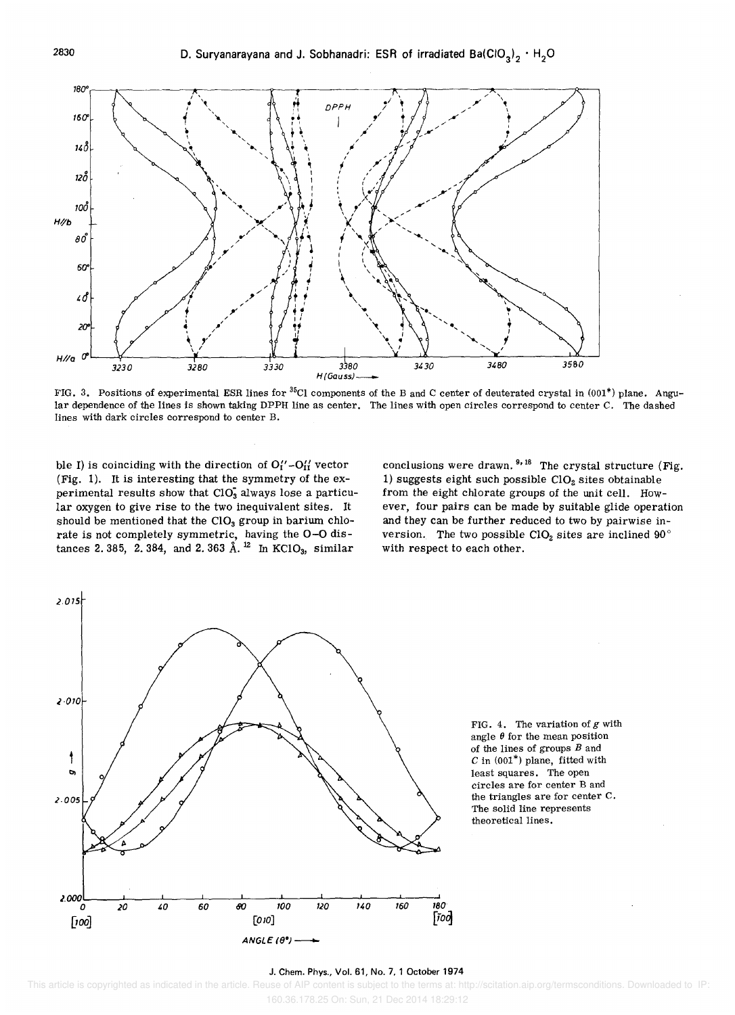

FIG. 3. Positions of experimental ESR lines for <sup>35</sup>Cl components of the B and C center of deuterated crystal in (001\*) plane. Angular dependence of the lines is shown taking DPPH line as center. The lines with open circles correspond to center C. The dashed lines with dark circles correspond to center B.

ble I) is coinciding with the direction of  $O'_I' - O'_{II}$  vector (Fig. 1). It is interesting that the symmetry of the experimental results show that  $CIO<sub>3</sub>$  always lose a particular oxygen to give rise to the two inequivalent sites. It should be mentioned that the  $ClO<sub>3</sub>$  group in barium chlorate is not completely symmetric, having the 0-0 distances 2.385, 2.384, and 2.363  $\AA$ . <sup>12</sup> In KClO<sub>3</sub>, similar

conclusions were drawn.  $9,18$  The crystal structure (Fig. 1) suggests eight such possible  $CIO<sub>2</sub>$  sites obtainable from the eight chlorate groups of the unit cell. However, four pairs can be made by suitable glide operation and they can be further reduced to two by pairwise inversion. The two possible ClO<sub>2</sub> sites are inclined  $90^\circ$ with respect to each other.



FIG. 4. The variation of *g* with angle  $\theta$  for the mean position of the lines of groups  $B$  and  $C$  in  $(001^*)$  plane, fitted with least squares. The open circles are for center Band the triangles are for center C. The solid line represents theoretical lines.

#### J. Chern. Phys., Vol. 61, No.7, 1 October 1974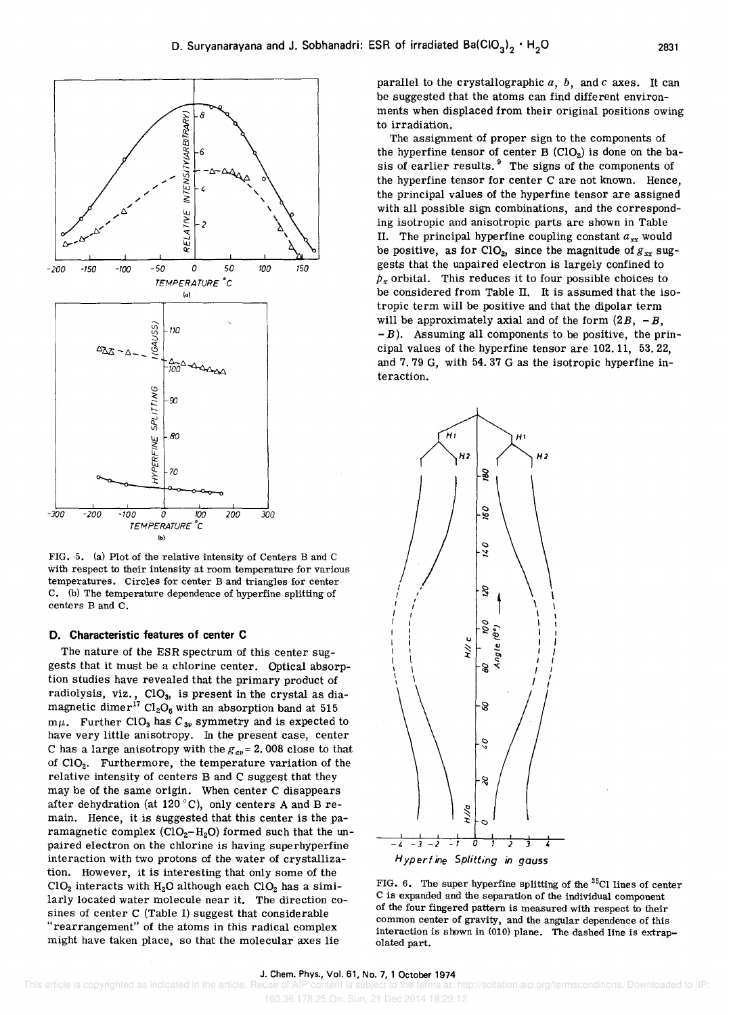

The assignment of proper sign to the components of the hyperfine tensor of center  $B(CIO<sub>2</sub>)$  is done on the basis of earlier results.<sup>9</sup> The signs of the components of the hyperfine tensor for center C are not known. Hence, the principal values of the hyperfine tensor are assigned with all possible sign combinations, and the corresponding isotropic and anisotropic parts are shown in Table II. The principal hyperfine coupling constant  $a_{xx}$  would be positive, as for ClO<sub>2</sub>, since the magnitude of  $g_{xx}$  suggests that the unpaired electron is largely confined to  $p_x$  orbital. This reduces it to four possible choices to be considered from Table II. It is assumed that the isotropic term will be positive and that the dipolar term will be approximately axial and of the form  $(2B, -B,$  $-B$ ). Assuming all components to be positive, the principal values of the hyperfine tensor are 102. 11, 53. 22, and 7.79 G, with 54.37 G as the isotropic hyperfine interaction.





FIG. 5. (a) Plot of the relative intensity of Centers Band C with respect to their intensity at room temperature for various temperatures. Circles for center B and triangles for center C. (b) The temperature dependence of hyperfine splitting of centers Band C.

-50 *a* <sup>50</sup> TEMPERATURE 'c lal

8

TY (AR BITRARY)

**INTENSI** 

RELATIVE Ź

100 150

300

g | 110<br>'S | 110

SPLITIN<br>
9<br>
9 80

ር |<br>#<sup>2</sup><br># 70

 $\frac{\Delta}{100}$ 

#### D. Characteristic features of center C

-300 -200 -100 *a* 100 200 TEMPERATURE 'c Ibl

-200 -150 *-100* 

**AZ+4-**

The nature of the ESR spectrum of this center suggests that it must be a chlorine center. Optical absorption studies have revealed that the primary product of radiolysis, viz., ClO<sub>3</sub>, is present in the crystal as diamagnetic dime $r^{17}$  Cl<sub>2</sub>O<sub>6</sub> with an absorption band at 515  $m\mu$ . Further CIO<sub>3</sub> has  $C_{3\nu}$  symmetry and is expected to have very little anisotropy. In the present case, center C has a large anisotropy with the  $g_{av} = 2.008$  close to that of ClO<sub>2</sub>. Furthermore, the temperature variation of the relative intensity of centers B and C suggest that they may be of the same origin. When center C disappears after dehydration (at 120°C), only centers A and B remain. Hence, it is suggested that this center is the paramagnetic complex  $\left(\text{ClO}_2\text{--}\text{H}_2\text{O}\right)$  formed such that the unpaired electron on the chlorine is having superhyperfine interaction with two protons of the water of crystallization. However, it is interesting that only some of the  $ClO<sub>2</sub>$  interacts with H<sub>2</sub>O although each  $ClO<sub>2</sub>$  has a similarly located water molecule near it. The direction cosines of center C (Table I) suggest that considerable "rearrangement" of the atoms in this radical complex might have taken place, so that the molecular axes lie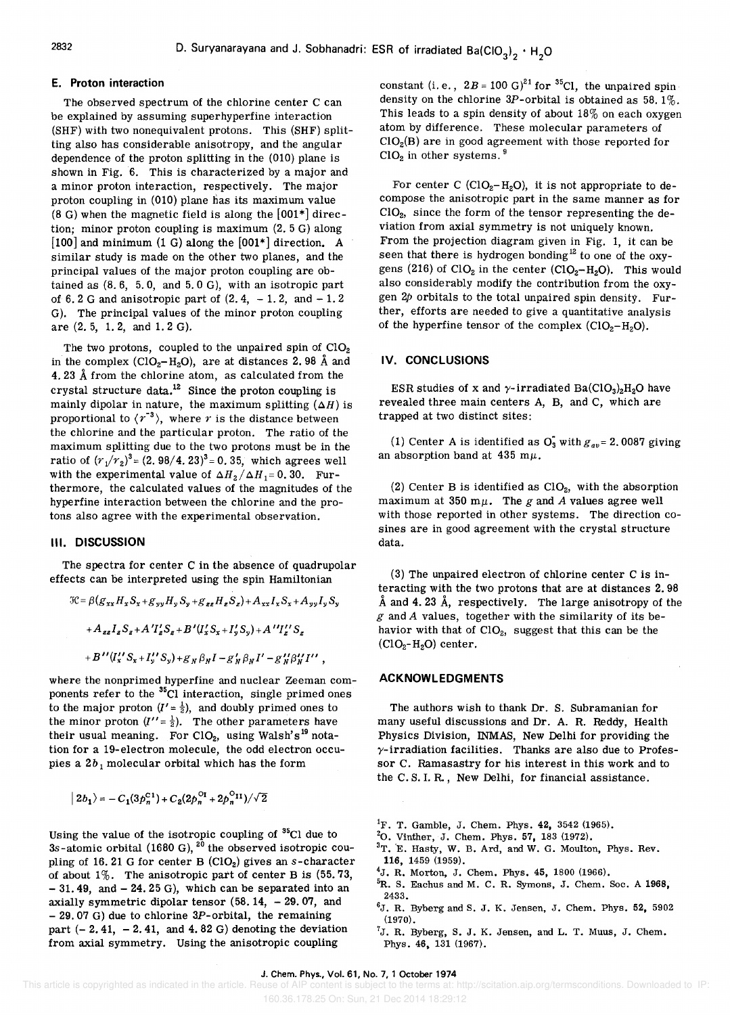#### **E. Proton interaction**

The observed spectrum of the chlorine center C can be explained by assuming superhyperfine interaction (SHF) with two nonequivalent protons. This (SHF) splitting also has considerable anisotropy, and the angular dependence of the proton splitting in the (010) plane is shown in Fig. 6. This is characterized by a major and a minor proton interaction, respectively. The major proton coupling in (OlO) plane bas its maximum value (8 G) when the magnetic field is along the [001\*] direction; minor proton coupling is maximum (2. 5 G) along [100] and minimum (1 G) along the [001\*] direction. A similar study is made on the other two planes, and the principal values of the major proton coupling are obtained as (8.6, 5.0, and 5.0 G), with an isotropic part of 6.2 G and anisotropic part of  $(2, 4, -1, 2, \text{ and } -1, 2)$ G). The principal values of the minor proton coupling are (2. 5, 1. 2, and 1. 2 G).

The two protons, coupled to the unpaired spin of  $ClO<sub>2</sub>$ in the complex (ClO<sub>2</sub>-H<sub>2</sub>O), are at distances 2.98 Å and 4. 23 A from the chlorine atom, as calculated from the crystal structure data. $^{12}$  Since the proton coupling is mainly dipolar in nature, the maximum splitting  $(AH)$  is proportional to  $\langle r^{-3} \rangle$ , where r is the distance between the chlorine and the particular proton. The ratio of the maximum splitting due to the two protons must be in the ratio of  $(r_1/r_2)^3$  =  $(2.98/4.23)^3$  = 0.35, which agrees well with the experimental value of  $\Delta H_2 / \Delta H_1 = 0$ . 30. Furthermore, the calculated values of the magnitudes of the hyperfine interaction between the chlorine and the protons also agree with the experimental observation.

#### **III. DISCUSSION**

The spectra for center C in the absence of quadrupolar effects can be interpreted using the spin Hamiltonian

$$
\mathcal{H} = \beta (g_{xx} H_x S_x + g_{yy} H_y S_y + g_{zz} H_z S_z) + A_{xx} I_x S_x + A_{yy} I_y S_y
$$
  
+  $A_{zz} I_z S_z + A' I'_z S_z + B' (I'_x S_x + I'_y S_y) + A'' I''_z S_z$   
+  $B'' (I''_x S_x + I''_y S_y) + g_{yy} \beta_y I - g'_{yy} \beta_y I' - g''_{yy} \beta''_{tt} I''$ ,

where the nonprimed hyperfine and nuclear Zeeman components refer to the  $^{35}$ Cl interaction, single primed ones to the major proton  $(I' = \frac{1}{2})$ , and doubly primed ones to the minor proton  $(I'' = \frac{1}{2})$ . The other parameters have their usual meaning. For ClO<sub>2</sub>, using Walsh's <sup>19</sup> notation for a 19-electron molecule, the odd electron occupies a  $2b_1$  molecular orbital which has the form

$$
|2b_1\rangle = -C_1(3p_n^{C1}) + C_2(2p_n^{O_I} + 2p_n^{O_{II}})/\sqrt{2}
$$

Using the value of the isotropic coupling of 35CI due to 3s-atomic orbital (1680 G),  $20$  the observed isotropic coupling of 16.21 G for center B (ClO<sub>2</sub>) gives an s-character of about  $1\%$ . The anisotropic part of center B is  $(55.73,$  $-31.49$ , and  $-24.25$  G), which can be separated into an axially symmetric dipolar tensor  $(58.14, -29.07, )$  and  $-$  29.07 G) due to chlorine 3P-orbital, the remaining part  $(-2.41, -2.41, \text{ and } 4.82 \text{ G})$  denoting the deviation from axial symmetry. Using the anisotropic coupling

constant (i.e.,  $2B = 100 \text{ G}^{21}$  for <sup>35</sup>Cl, the unpaired spin density on the chlorine  $3P$ -orbital is obtained as 58.1%. This leads to a spin density of about  $18\%$  on each oxygen atom by difference. These molecular parameters of  $ClO<sub>2</sub>(B)$  are in good agreement with those reported for  $ClO<sub>2</sub>$  in other systems.  $9$ 

For center C (ClO<sub>2</sub>-H<sub>2</sub>O), it is not appropriate to decompose the anisotropic part in the same manner as for CI0<sup>2</sup> , since the form of the tensor representing the deviation from axial symmetry is not uniquely known. From the projection diagram given in Fig. 1, it can be seen that there is hydrogen bonding<sup>12</sup> to one of the oxygens (216) of  $ClO<sub>2</sub>$  in the center ( $ClO<sub>2</sub>-H<sub>2</sub>O$ ). This would also considerably modify the contribution from the oxygen  $2p$  orbitals to the total unpaired spin density. Further, efforts are needed to give a quantitative analysis of the hyperfine tensor of the complex  $(ClO_2-H_2O)$ .

#### **IV. CONCLUSIONS**

ESR studies of x and  $\gamma$ -irradiated Ba(ClO<sub>3</sub>)<sub>2</sub>H<sub>2</sub>O have revealed three main centers A, B, and C, which are trapped at two distinct sites:

(1) Center A is identified as  $O_3$  with  $g_{av} = 2.0087$  giving an absorption band at 435 m $\mu$ .

(2) Center B is identified as  $ClO<sub>2</sub>$ , with the absorption maximum at 350 m $\mu$ . The *g* and *A* values agree well with those reported in other systems. The direction cosines are in good agreement with the crystal structure data.

(3) The unpaired electron of chlorine center C is interacting with the two protons that are at distances 2. 98 Å and 4.23 Å, respectively. The large anisotropy of the *g* and *A* values, together with the similarity of its behavior with that of ClO<sub>2</sub>, suggest that this can be the  $(CIO<sub>2</sub>-H<sub>2</sub>O)$  center.

# **ACKNOWLEDGMENTS**

The authors wish to thank Dr. S. Subramanian for many useful discussions and Dr. A. R. Reddy, Health Physics Division, INMAS, New Delhi for providing the  $\gamma$ -irradiation facilities. Thanks are also due to Professor C. Ramasastry for his interest in this work and to the C. S. I. R., New Delhi, for financial assistance.

- <sup>2</sup>O. Vinther, J. Chem. Phys. 57, 183 (1972).
- $3$ T. E. Hasty, W. B. Ard, and W. G. Moulton, Phys. Rev. 116, 1459 (1959).
- $^{4}$ J. R. Morton, J. Chem. Phys. 45, 1800 (1966).
- <sup>5</sup>R. S. Eachus and M. C. R. Symons, J. Chem. Soc. A 1968, 2433.
- $6J.$  R. Byberg and S. J. K. Jensen, J. Chem. Phys. 52, 5902 (1970).

 ${}^{7}$ J. R. Byberg, S. J. K. Jensen, and L. T. Muus, J. Chem. Phys. 46, 131 (1967).

<sup>&</sup>lt;sup>1</sup>F. T. Gamble, J. Chem. Phys. 42, 3542 (1965).